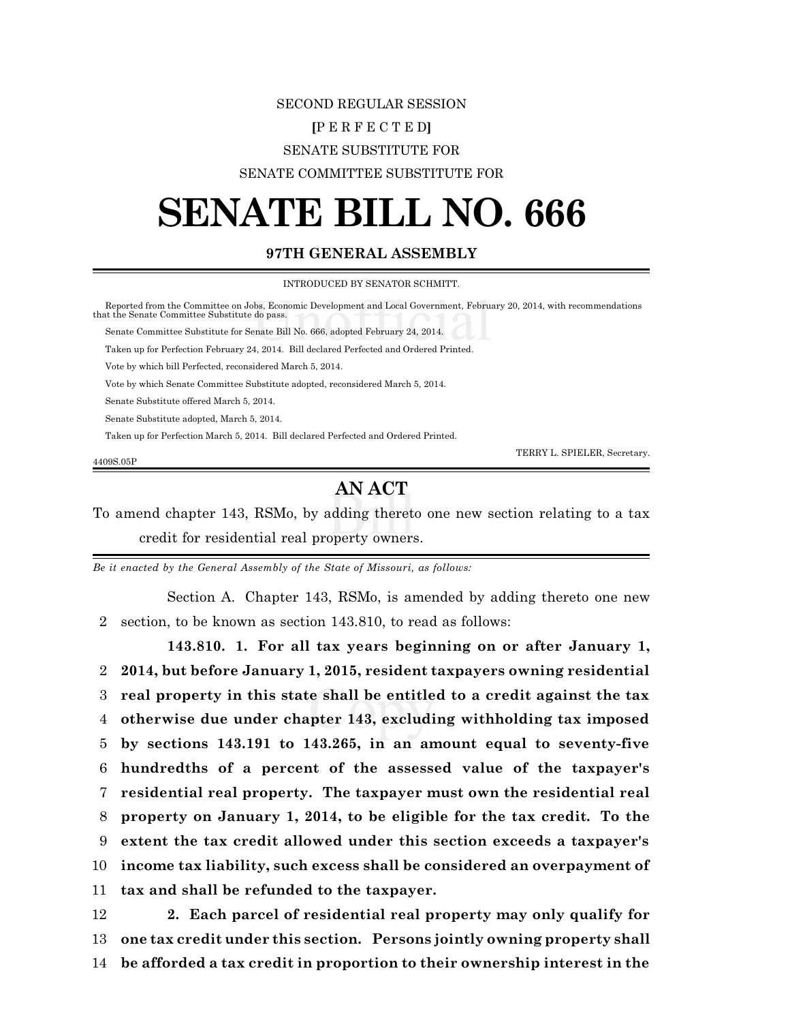## SECOND REGULAR SESSION **[**P E R F E C T E D**]** SENATE SUBSTITUTE FOR SENATE COMMITTEE SUBSTITUTE FOR

## **SENATE BILL NO. 666**

## **97TH GENERAL ASSEMBLY**

INTRODUCED BY SENATOR SCHMITT.

 Reported from the Committee on Jobs, Economic Development and Local Government, February 20, 2014, with recommendations that the Senate Committee Substitute do pass. Senate Committee Substitute for Senate Bill No. 666, adopted February 24, 2014. Taken up for Perfection February 24, 2014. Bill declared Perfected and Ordered Printed. Vote by which bill Perfected, reconsidered March 5, 2014. Vote by which Senate Committee Substitute adopted, reconsidered March 5, 2014. Senate Substitute offered March 5, 2014. Senate Substitute adopted, March 5, 2014. Taken up for Perfection March 5, 2014. Bill declared Perfected and Ordered Printed. TERRY L. SPIELER, Secretary. 4409S.05P

## **AN ACT**

To amend chapter 143, RSMo, by adding thereto one new section relating to a tax credit for residential real property owners.

*Be it enacted by the General Assembly of the State of Missouri, as follows:*

Section A. Chapter 143, RSMo, is amended by adding thereto one new 2 section, to be known as section 143.810, to read as follows:

**143.810. 1. For all tax years beginning on or after January 1, 2014, but before January 1, 2015, resident taxpayers owning residential real property in this state shall be entitled to a credit against the tax otherwise due under chapter 143, excluding withholding tax imposed by sections 143.191 to 143.265, in an amount equal to seventy-five hundredths of a percent of the assessed value of the taxpayer's residential real property. The taxpayer must own the residential real property on January 1, 2014, to be eligible for the tax credit. To the extent the tax credit allowed under this section exceeds a taxpayer's income tax liability, such excess shall be considered an overpayment of tax and shall be refunded to the taxpayer.**

12 **2. Each parcel of residential real property may only qualify for** 13 **one tax credit under this section. Persons jointly owning property shall** 14 **be afforded a tax credit in proportion to their ownership interest in the**